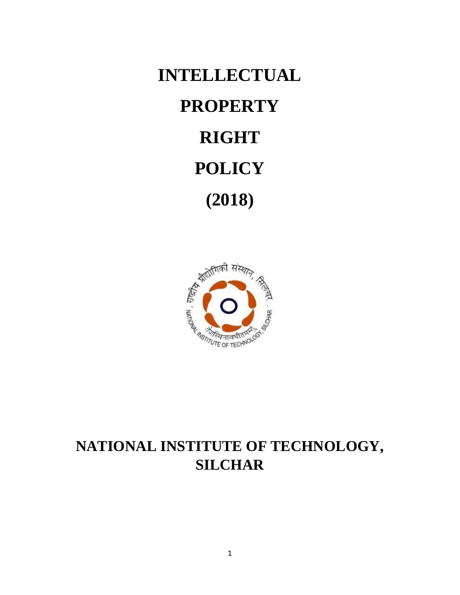**INTELLECTUAL PROPERTY RIGHT POLICY (2018)**



# **NATIONAL INSTITUTE OF TECHNOLOGY, SILCHAR**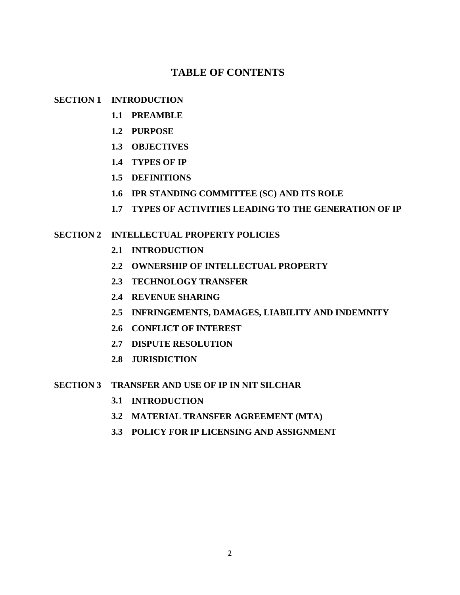# **TABLE OF CONTENTS**

# **SECTION 1 INTRODUCTION**

- **1.1 PREAMBLE**
- **1.2 PURPOSE**
- **1.3 OBJECTIVES**
- **1.4 TYPES OF IP**
- **1.5 DEFINITIONS**
- **1.6 IPR STANDING COMMITTEE (SC) AND ITS ROLE**
- **1.7 TYPES OF ACTIVITIES LEADING TO THE GENERATION OF IP**

# **SECTION 2 INTELLECTUAL PROPERTY POLICIES**

- **2.1 INTRODUCTION**
- **2.2 OWNERSHIP OF INTELLECTUAL PROPERTY**
- **2.3 TECHNOLOGY TRANSFER**
- **2.4 REVENUE SHARING**
- **2.5 INFRINGEMENTS, DAMAGES, LIABILITY AND INDEMNITY**
- **2.6 CONFLICT OF INTEREST**
- **2.7 DISPUTE RESOLUTION**
- **2.8 JURISDICTION**

# **SECTION 3 TRANSFER AND USE OF IP IN NIT SILCHAR**

- **3.1 INTRODUCTION**
- **3.2 MATERIAL TRANSFER AGREEMENT (MTA)**
- **3.3 POLICY FOR IP LICENSING AND ASSIGNMENT**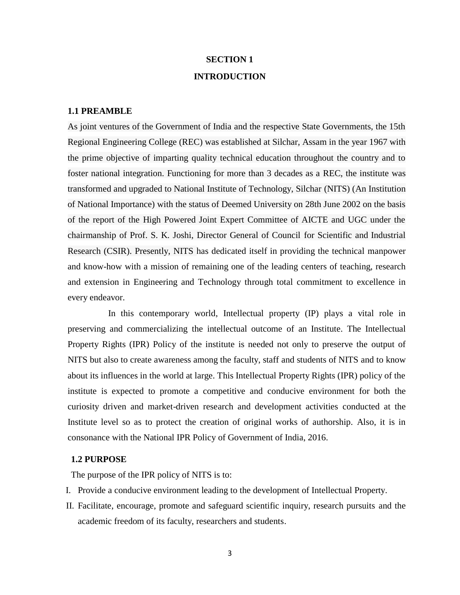# **SECTION 1 INTRODUCTION**

#### **1.1 PREAMBLE**

As joint ventures of the Government of India and the respective State Governments, the 15th Regional Engineering College (REC) was established at Silchar, Assam in the year 1967 with the prime objective of imparting quality technical education throughout the country and to foster national integration. Functioning for more than 3 decades as a REC, the institute was transformed and upgraded to National Institute of Technology, Silchar (NITS) (An Institution of National Importance) with the status of Deemed University on 28th June 2002 on the basis of the report of the High Powered Joint Expert Committee of AICTE and UGC under the chairmanship of Prof. S. K. Joshi, Director General of Council for Scientific and Industrial Research (CSIR). Presently, NITS has dedicated itself in providing the technical manpower and know-how with a mission of remaining one of the leading centers of teaching, research and extension in Engineering and Technology through total commitment to excellence in every endeavor.

In this contemporary world, Intellectual property (IP) plays a vital role in preserving and commercializing the intellectual outcome of an Institute. The Intellectual Property Rights (IPR) Policy of the institute is needed not only to preserve the output of NITS but also to create awareness among the faculty, staff and students of NITS and to know about its influences in the world at large. This Intellectual Property Rights (IPR) policy of the institute is expected to promote a competitive and conducive environment for both the curiosity driven and market-driven research and development activities conducted at the Institute level so as to protect the creation of original works of authorship. Also, it is in consonance with the National IPR Policy of Government of India, 2016.

### **1.2 PURPOSE**

The purpose of the IPR policy of NITS is to:

- I. Provide a conducive environment leading to the development of Intellectual Property.
- II. Facilitate, encourage, promote and safeguard scientific inquiry, research pursuits and the academic freedom of its faculty, researchers and students.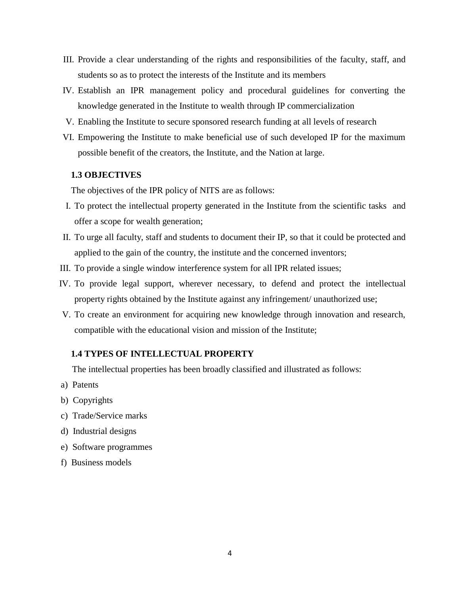- III. Provide a clear understanding of the rights and responsibilities of the faculty, staff, and students so as to protect the interests of the Institute and its members
- IV. Establish an IPR management policy and procedural guidelines for converting the knowledge generated in the Institute to wealth through IP commercialization
- V. Enabling the Institute to secure sponsored research funding at all levels of research
- VI. Empowering the Institute to make beneficial use of such developed IP for the maximum possible benefit of the creators, the Institute, and the Nation at large.

#### **1.3 OBJECTIVES**

The objectives of the IPR policy of NITS are as follows:

- I. To protect the intellectual property generated in the Institute from the scientific tasks and offer a scope for wealth generation;
- II. To urge all faculty, staff and students to document their IP, so that it could be protected and applied to the gain of the country, the institute and the concerned inventors;
- III. To provide a single window interference system for all IPR related issues;
- IV. To provide legal support, wherever necessary, to defend and protect the intellectual property rights obtained by the Institute against any infringement/ unauthorized use;
- V. To create an environment for acquiring new knowledge through innovation and research, compatible with the educational vision and mission of the Institute;

#### **1.4 TYPES OF INTELLECTUAL PROPERTY**

The intellectual properties has been broadly classified and illustrated as follows:

- a) Patents
- b) Copyrights
- c) Trade/Service marks
- d) Industrial designs
- e) Software programmes
- f) Business models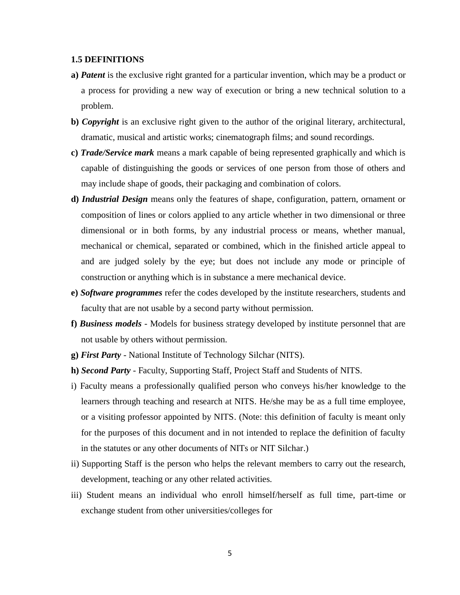#### **1.5 DEFINITIONS**

- **a)** *Patent* is the exclusive right granted for a particular invention, which may be a product or a process for providing a new way of execution or bring a new technical solution to a problem.
- **b)** *Copyright* is an exclusive right given to the author of the original literary, architectural, dramatic, musical and artistic works; cinematograph films; and sound recordings.
- **c)** *Trade/Service mark* means a mark capable of being represented graphically and which is capable of distinguishing the goods or services of one person from those of others and may include shape of goods, their packaging and combination of colors.
- **d)** *Industrial Design* means only the features of shape, configuration, pattern, ornament or composition of lines or colors applied to any article whether in two dimensional or three dimensional or in both forms, by any industrial process or means, whether manual, mechanical or chemical, separated or combined, which in the finished article appeal to and are judged solely by the eye; but does not include any mode or principle of construction or anything which is in substance a mere mechanical device.
- **e)** *Software programmes* refer the codes developed by the institute researchers, students and faculty that are not usable by a second party without permission.
- **f)** *Business models -* Models for business strategy developed by institute personnel that are not usable by others without permission.
- **g)** *First Party -* National Institute of Technology Silchar (NITS).
- **h)** *Second Party -* Faculty, Supporting Staff, Project Staff and Students of NITS.
- i) Faculty means a professionally qualified person who conveys his/her knowledge to the learners through teaching and research at NITS. He/she may be as a full time employee, or a visiting professor appointed by NITS. (Note: this definition of faculty is meant only for the purposes of this document and in not intended to replace the definition of faculty in the statutes or any other documents of NITs or NIT Silchar.)
- ii) Supporting Staff is the person who helps the relevant members to carry out the research, development, teaching or any other related activities.
- iii) Student means an individual who enroll himself/herself as full time, part-time or exchange student from other universities/colleges for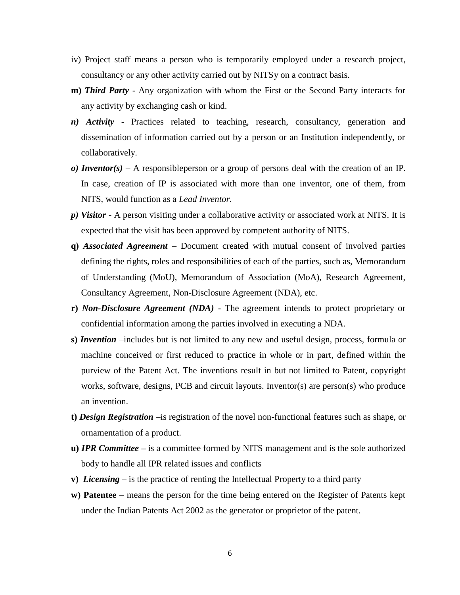- iv) Project staff means a person who is temporarily employed under a research project, consultancy or any other activity carried out by NITSy on a contract basis.
- **m)** *Third Party* Any organization with whom the First or the Second Party interacts for any activity by exchanging cash or kind.
- *n) Activity* Practices related to teaching, research, consultancy, generation and dissemination of information carried out by a person or an Institution independently, or collaboratively.
- *o) Inventor(s)* A responsibleperson or a group of persons deal with the creation of an IP. In case, creation of IP is associated with more than one inventor, one of them, from NITS, would function as a *Lead Inventor.*
- *p) Visitor* A person visiting under a collaborative activity or associated work at NITS. It is expected that the visit has been approved by competent authority of NITS.
- **q)** *Associated Agreement* Document created with mutual consent of involved parties defining the rights, roles and responsibilities of each of the parties, such as, Memorandum of Understanding (MoU), Memorandum of Association (MoA), Research Agreement, Consultancy Agreement, Non-Disclosure Agreement (NDA), etc.
- **r)** *Non-Disclosure Agreement (NDA)* The agreement intends to protect proprietary or confidential information among the parties involved in executing a NDA.
- **s)** *Invention* –includes but is not limited to any new and useful design, process, formula or machine conceived or first reduced to practice in whole or in part, defined within the purview of the Patent Act. The inventions result in but not limited to Patent, copyright works, software, designs, PCB and circuit layouts. Inventor(s) are person(s) who produce an invention.
- **t)** *Design Registration* –is registration of the novel non-functional features such as shape, or ornamentation of a product.
- **u)** *IPR Committee* **–** is a committee formed by NITS management and is the sole authorized body to handle all IPR related issues and conflicts
- **v)** *Licensing* is the practice of renting the Intellectual Property to a third party
- **w) Patentee –** means the person for the time being entered on the Register of Patents kept under the Indian Patents Act 2002 as the generator or proprietor of the patent.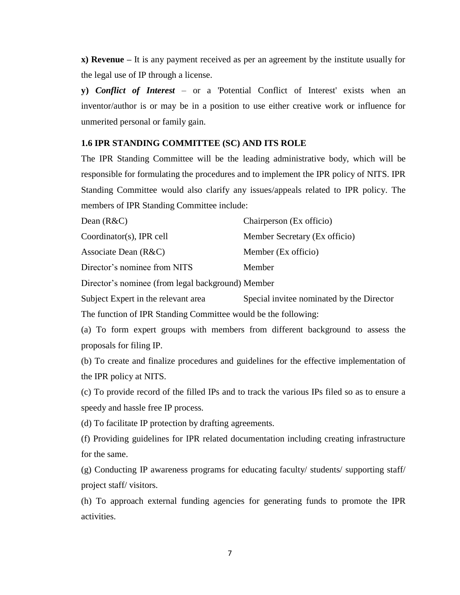**x) Revenue –** It is any payment received as per an agreement by the institute usually for the legal use of IP through a license.

**y)** *Conflict of Interest* – or a 'Potential Conflict of Interest' exists when an inventor/author is or may be in a position to use either creative work or influence for unmerited personal or family gain.

#### **1.6 IPR STANDING COMMITTEE (SC) AND ITS ROLE**

The IPR Standing Committee will be the leading administrative body, which will be responsible for formulating the procedures and to implement the IPR policy of NITS. IPR Standing Committee would also clarify any issues/appeals related to IPR policy. The members of IPR Standing Committee include:

| Dean $(R&C)$                 | Chairperson (Ex officio)      |
|------------------------------|-------------------------------|
| Coordinator(s), IPR cell     | Member Secretary (Ex officio) |
| Associate Dean $(R&C)$       | Member (Ex officio)           |
| Director's nominee from NITS | Member                        |

Director's nominee (from legal background) Member

Subject Expert in the relevant area Special invitee nominated by the Director

The function of IPR Standing Committee would be the following:

(a) To form expert groups with members from different background to assess the proposals for filing IP.

(b) To create and finalize procedures and guidelines for the effective implementation of the IPR policy at NITS.

(c) To provide record of the filled IPs and to track the various IPs filed so as to ensure a speedy and hassle free IP process.

(d) To facilitate IP protection by drafting agreements.

(f) Providing guidelines for IPR related documentation including creating infrastructure for the same.

(g) Conducting IP awareness programs for educating faculty/ students/ supporting staff/ project staff/ visitors.

(h) To approach external funding agencies for generating funds to promote the IPR activities.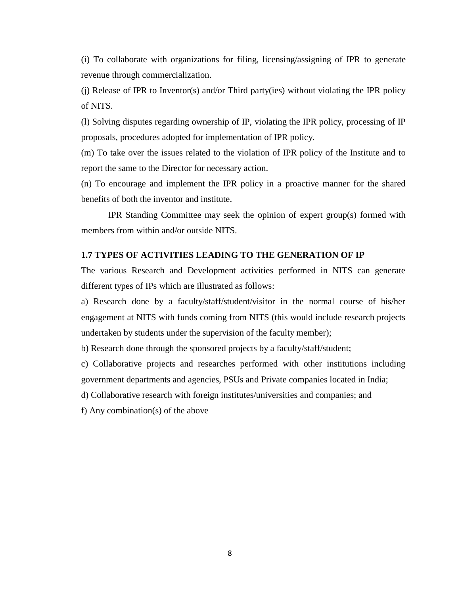(i) To collaborate with organizations for filing, licensing/assigning of IPR to generate revenue through commercialization.

(j) Release of IPR to Inventor(s) and/or Third party(ies) without violating the IPR policy of NITS.

(l) Solving disputes regarding ownership of IP, violating the IPR policy, processing of IP proposals, procedures adopted for implementation of IPR policy.

(m) To take over the issues related to the violation of IPR policy of the Institute and to report the same to the Director for necessary action.

(n) To encourage and implement the IPR policy in a proactive manner for the shared benefits of both the inventor and institute.

IPR Standing Committee may seek the opinion of expert group(s) formed with members from within and/or outside NITS.

#### **1.7 TYPES OF ACTIVITIES LEADING TO THE GENERATION OF IP**

The various Research and Development activities performed in NITS can generate different types of IPs which are illustrated as follows:

a) Research done by a faculty/staff/student/visitor in the normal course of his/her engagement at NITS with funds coming from NITS (this would include research projects undertaken by students under the supervision of the faculty member);

b) Research done through the sponsored projects by a faculty/staff/student;

c) Collaborative projects and researches performed with other institutions including government departments and agencies, PSUs and Private companies located in India;

d) Collaborative research with foreign institutes/universities and companies; and

f) Any combination(s) of the above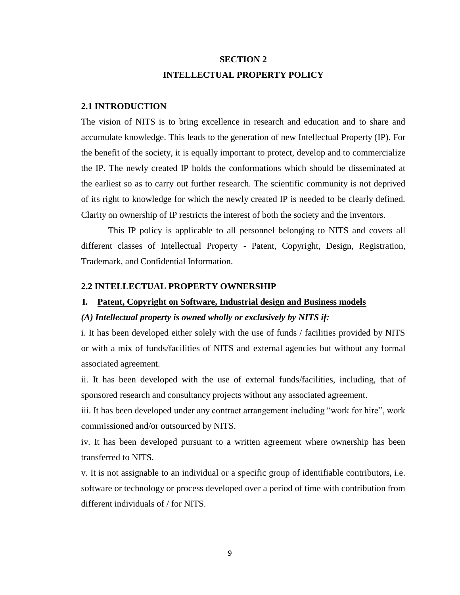# **SECTION 2 INTELLECTUAL PROPERTY POLICY**

#### **2.1 INTRODUCTION**

The vision of NITS is to bring excellence in research and education and to share and accumulate knowledge. This leads to the generation of new Intellectual Property (IP). For the benefit of the society, it is equally important to protect, develop and to commercialize the IP. The newly created IP holds the conformations which should be disseminated at the earliest so as to carry out further research. The scientific community is not deprived of its right to knowledge for which the newly created IP is needed to be clearly defined. Clarity on ownership of IP restricts the interest of both the society and the inventors.

This IP policy is applicable to all personnel belonging to NITS and covers all different classes of Intellectual Property - Patent, Copyright, Design, Registration, Trademark, and Confidential Information.

#### **2.2 INTELLECTUAL PROPERTY OWNERSHIP**

#### **I. Patent, Copyright on Software, Industrial design and Business models**

#### *(A) Intellectual property is owned wholly or exclusively by NITS if:*

i. It has been developed either solely with the use of funds / facilities provided by NITS or with a mix of funds/facilities of NITS and external agencies but without any formal associated agreement.

ii. It has been developed with the use of external funds/facilities, including, that of sponsored research and consultancy projects without any associated agreement.

iii. It has been developed under any contract arrangement including "work for hire", work commissioned and/or outsourced by NITS.

iv. It has been developed pursuant to a written agreement where ownership has been transferred to NITS.

v. It is not assignable to an individual or a specific group of identifiable contributors, i.e. software or technology or process developed over a period of time with contribution from different individuals of / for NITS.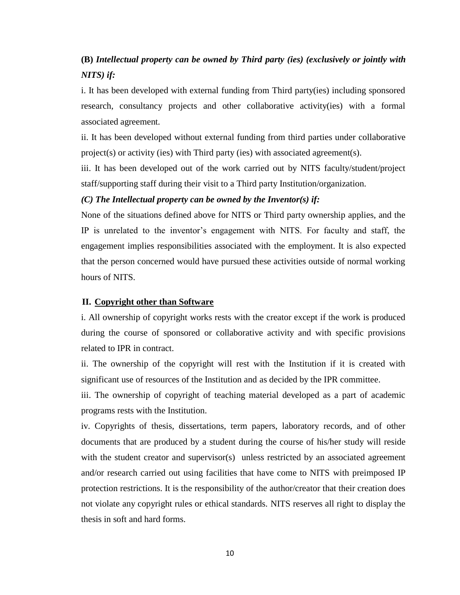# **(B)** *Intellectual property can be owned by Third party (ies) (exclusively or jointly with NITS) if:*

i. It has been developed with external funding from Third party(ies) including sponsored research, consultancy projects and other collaborative activity(ies) with a formal associated agreement.

ii. It has been developed without external funding from third parties under collaborative project(s) or activity (ies) with Third party (ies) with associated agreement(s).

iii. It has been developed out of the work carried out by NITS faculty/student/project staff/supporting staff during their visit to a Third party Institution/organization.

#### *(C) The Intellectual property can be owned by the Inventor(s) if:*

None of the situations defined above for NITS or Third party ownership applies, and the IP is unrelated to the inventor's engagement with NITS. For faculty and staff, the engagement implies responsibilities associated with the employment. It is also expected that the person concerned would have pursued these activities outside of normal working hours of NITS.

#### **II. Copyright other than Software**

i. All ownership of copyright works rests with the creator except if the work is produced during the course of sponsored or collaborative activity and with specific provisions related to IPR in contract.

ii. The ownership of the copyright will rest with the Institution if it is created with significant use of resources of the Institution and as decided by the IPR committee.

iii. The ownership of copyright of teaching material developed as a part of academic programs rests with the Institution.

iv. Copyrights of thesis, dissertations, term papers, laboratory records, and of other documents that are produced by a student during the course of his/her study will reside with the student creator and supervisor(s) unless restricted by an associated agreement and/or research carried out using facilities that have come to NITS with preimposed IP protection restrictions. It is the responsibility of the author/creator that their creation does not violate any copyright rules or ethical standards. NITS reserves all right to display the thesis in soft and hard forms.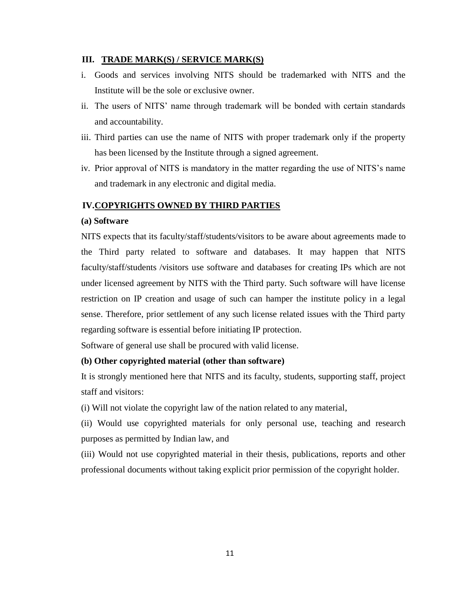## **III. TRADE MARK(S) / SERVICE MARK(S)**

- i. Goods and services involving NITS should be trademarked with NITS and the Institute will be the sole or exclusive owner.
- ii. The users of NITS' name through trademark will be bonded with certain standards and accountability.
- iii. Third parties can use the name of NITS with proper trademark only if the property has been licensed by the Institute through a signed agreement.
- iv. Prior approval of NITS is mandatory in the matter regarding the use of NITS's name and trademark in any electronic and digital media.

# **IV.COPYRIGHTS OWNED BY THIRD PARTIES**

### **(a) Software**

NITS expects that its faculty/staff/students/visitors to be aware about agreements made to the Third party related to software and databases. It may happen that NITS faculty/staff/students /visitors use software and databases for creating IPs which are not under licensed agreement by NITS with the Third party. Such software will have license restriction on IP creation and usage of such can hamper the institute policy in a legal sense. Therefore, prior settlement of any such license related issues with the Third party regarding software is essential before initiating IP protection.

Software of general use shall be procured with valid license.

# **(b) Other copyrighted material (other than software)**

It is strongly mentioned here that NITS and its faculty, students, supporting staff, project staff and visitors:

(i) Will not violate the copyright law of the nation related to any material,

(ii) Would use copyrighted materials for only personal use, teaching and research purposes as permitted by Indian law, and

(iii) Would not use copyrighted material in their thesis, publications, reports and other professional documents without taking explicit prior permission of the copyright holder.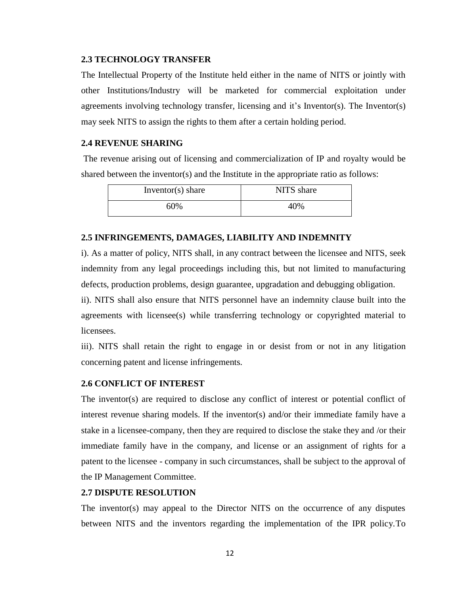#### **2.3 TECHNOLOGY TRANSFER**

The Intellectual Property of the Institute held either in the name of NITS or jointly with other Institutions/Industry will be marketed for commercial exploitation under agreements involving technology transfer, licensing and it's Inventor(s). The Inventor(s) may seek NITS to assign the rights to them after a certain holding period.

### **2.4 REVENUE SHARING**

The revenue arising out of licensing and commercialization of IP and royalty would be shared between the inventor(s) and the Institute in the appropriate ratio as follows:

| Inventor(s) share | NITS share |
|-------------------|------------|
| 60%               | 10%        |

# **2.5 INFRINGEMENTS, DAMAGES, LIABILITY AND INDEMNITY**

i). As a matter of policy, NITS shall, in any contract between the licensee and NITS, seek indemnity from any legal proceedings including this, but not limited to manufacturing defects, production problems, design guarantee, upgradation and debugging obligation.

ii). NITS shall also ensure that NITS personnel have an indemnity clause built into the agreements with licensee(s) while transferring technology or copyrighted material to licensees.

iii). NITS shall retain the right to engage in or desist from or not in any litigation concerning patent and license infringements.

#### **2.6 CONFLICT OF INTEREST**

The inventor(s) are required to disclose any conflict of interest or potential conflict of interest revenue sharing models. If the inventor(s) and/or their immediate family have a stake in a licensee-company, then they are required to disclose the stake they and /or their immediate family have in the company, and license or an assignment of rights for a patent to the licensee - company in such circumstances, shall be subject to the approval of the IP Management Committee.

#### **2.7 DISPUTE RESOLUTION**

The inventor(s) may appeal to the Director NITS on the occurrence of any disputes between NITS and the inventors regarding the implementation of the IPR policy.To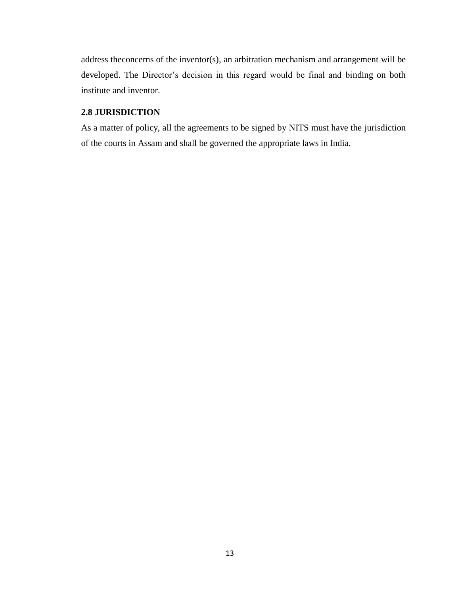address theconcerns of the inventor(s), an arbitration mechanism and arrangement will be developed. The Director's decision in this regard would be final and binding on both institute and inventor.

# **2.8 JURISDICTION**

As a matter of policy, all the agreements to be signed by NITS must have the jurisdiction of the courts in Assam and shall be governed the appropriate laws in India.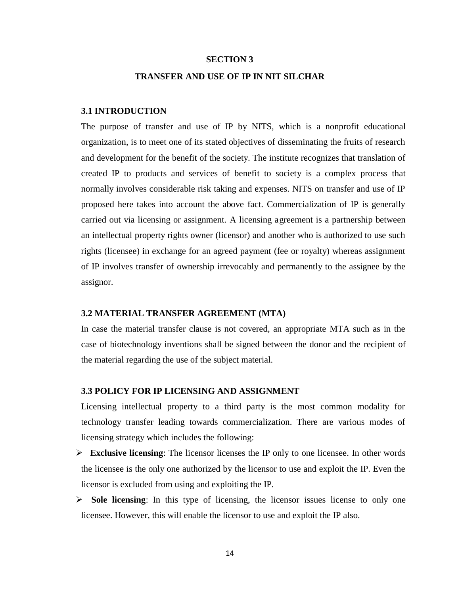#### **SECTION 3**

#### **TRANSFER AND USE OF IP IN NIT SILCHAR**

#### **3.1 INTRODUCTION**

The purpose of transfer and use of IP by NITS, which is a nonprofit educational organization, is to meet one of its stated objectives of disseminating the fruits of research and development for the benefit of the society. The institute recognizes that translation of created IP to products and services of benefit to society is a complex process that normally involves considerable risk taking and expenses. NITS on transfer and use of IP proposed here takes into account the above fact. Commercialization of IP is generally carried out via licensing or assignment. A licensing agreement is a partnership between an intellectual property rights owner (licensor) and another who is authorized to use such rights (licensee) in exchange for an agreed payment (fee or royalty) whereas assignment of IP involves transfer of ownership irrevocably and permanently to the assignee by the assignor.

#### **3.2 MATERIAL TRANSFER AGREEMENT (MTA)**

In case the material transfer clause is not covered, an appropriate MTA such as in the case of biotechnology inventions shall be signed between the donor and the recipient of the material regarding the use of the subject material.

#### **3.3 POLICY FOR IP LICENSING AND ASSIGNMENT**

Licensing intellectual property to a third party is the most common modality for technology transfer leading towards commercialization. There are various modes of licensing strategy which includes the following:

- **Exclusive licensing**: The licensor licenses the IP only to one licensee. In other words the licensee is the only one authorized by the licensor to use and exploit the IP. Even the licensor is excluded from using and exploiting the IP.
- Sole licensing: In this type of licensing, the licensor issues license to only one licensee. However, this will enable the licensor to use and exploit the IP also.